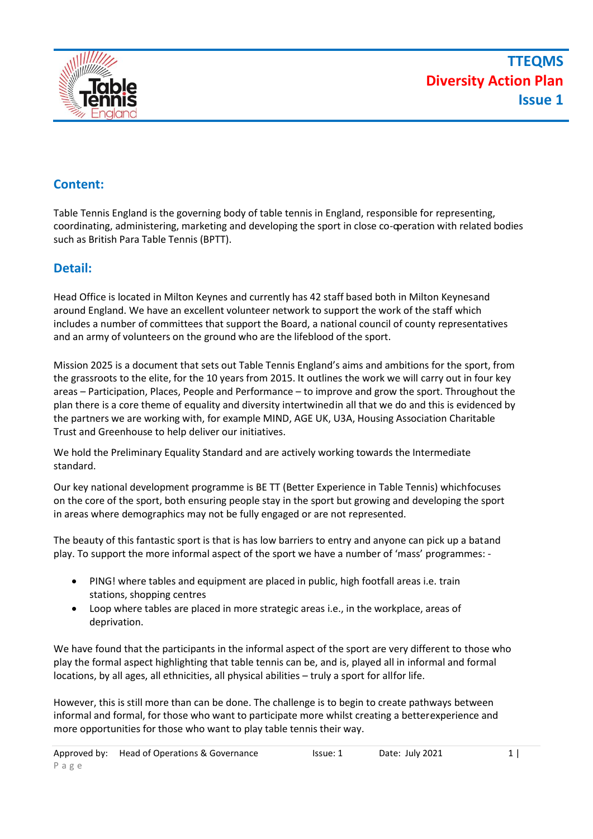

# **Content:**

Table Tennis England is the governing body of table tennis in England, responsible for representing, coordinating, administering, marketing and developing the sport in close co-operation with related bodies such as British Para Table Tennis (BPTT).

## **Detail:**

Head Office is located in Milton Keynes and currently has 42 staff based both in Milton Keynesand around England. We have an excellent volunteer network to support the work of the staff which includes a number of committees that support the Board, a national council of county representatives and an army of volunteers on the ground who are the lifeblood of the sport.

Mission 2025 is a document that sets out Table Tennis England's aims and ambitions for the sport, from the grassroots to the elite, for the 10 years from 2015. It outlines the work we will carry out in four key areas – Participation, Places, People and Performance – to improve and grow the sport. Throughout the plan there is a core theme of equality and diversity intertwinedin all that we do and this is evidenced by the partners we are working with, for example MIND, AGE UK, U3A, Housing Association Charitable Trust and Greenhouse to help deliver our initiatives.

We hold the Preliminary Equality Standard and are actively working towards the Intermediate standard.

Our key national development programme is BE TT (Better Experience in Table Tennis) whichfocuses on the core of the sport, both ensuring people stay in the sport but growing and developing the sport in areas where demographics may not be fully engaged or are not represented.

The beauty of this fantastic sport is that is has low barriers to entry and anyone can pick up a batand play. To support the more informal aspect of the sport we have a number of 'mass' programmes: -

- PING! where tables and equipment are placed in public, high footfall areas i.e. train stations, shopping centres
- Loop where tables are placed in more strategic areas i.e., in the workplace, areas of deprivation.

We have found that the participants in the informal aspect of the sport are very different to those who play the formal aspect highlighting that table tennis can be, and is, played all in informal and formal locations, by all ages, all ethnicities, all physical abilities – truly a sport for allfor life.

However, this is still more than can be done. The challenge is to begin to create pathways between informal and formal, for those who want to participate more whilst creating a betterexperience and more opportunities for those who want to play table tennis their way.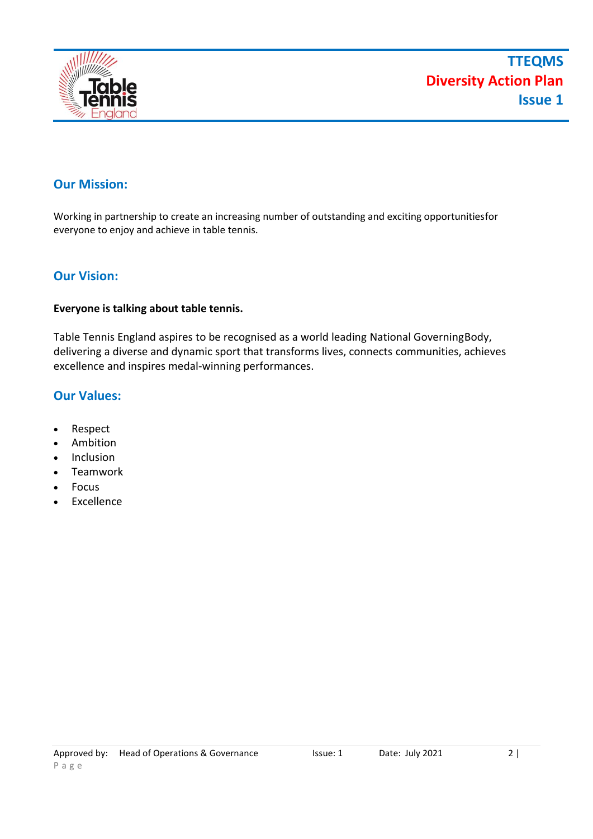

## **Our Mission:**

Working in partnership to create an increasing number of outstanding and exciting opportunitiesfor everyone to enjoy and achieve in table tennis.

## **Our Vision:**

#### **Everyone is talking about table tennis.**

Table Tennis England aspires to be recognised as a world leading National GoverningBody, delivering a diverse and dynamic sport that transforms lives, connects communities, achieves excellence and inspires medal-winning performances.

## **Our Values:**

- Respect
- Ambition
- **Inclusion**
- Teamwork
- Focus
- **Excellence**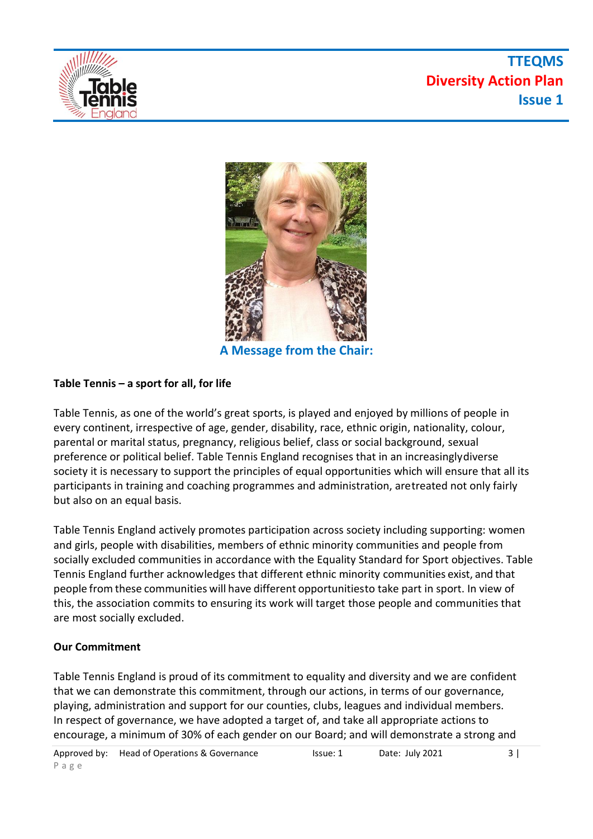

# **TTEQMS Diversity Action Plan Issue 1**



**A Message from the Chair:**

## **Table Tennis – a sport for all, for life**

Table Tennis, as one of the world's great sports, is played and enjoyed by millions of people in every continent, irrespective of age, gender, disability, race, ethnic origin, nationality, colour, parental or marital status, pregnancy, religious belief, class or social background, sexual preference or political belief. Table Tennis England recognises that in an increasinglydiverse society it is necessary to support the principles of equal opportunities which will ensure that all its participants in training and coaching programmes and administration, aretreated not only fairly but also on an equal basis.

Table Tennis England actively promotes participation across society including supporting: women and girls, people with disabilities, members of ethnic minority communities and people from socially excluded communities in accordance with the Equality Standard for Sport objectives. Table Tennis England further acknowledges that different ethnic minority communities exist, and that people from these communities will have different opportunitiesto take part in sport. In view of this, the association commits to ensuring its work will target those people and communities that are most socially excluded.

### **Our Commitment**

Table Tennis England is proud of its commitment to equality and diversity and we are confident that we can demonstrate this commitment, through our actions, in terms of our governance, playing, administration and support for our counties, clubs, leagues and individual members. In respect of governance, we have adopted a target of, and take all appropriate actions to encourage, a minimum of 30% of each gender on our Board; and will demonstrate a strong and